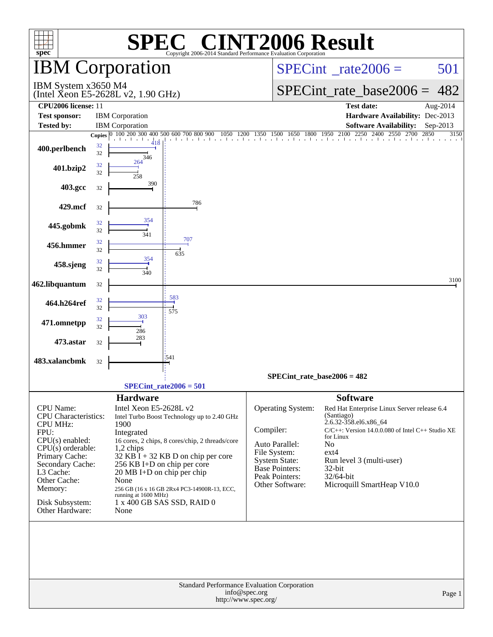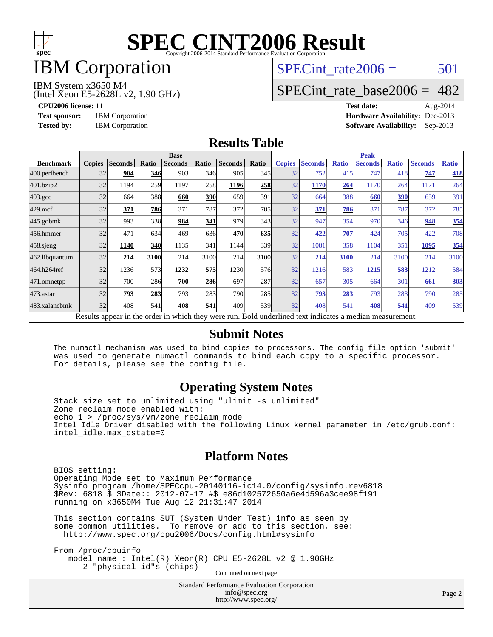

# **IBM** Corporation

## SPECint rate $2006 = 501$

#### IBM System x3650 M4

(Intel Xeon E5-2628L v2, 1.90 GHz)

[SPECint\\_rate\\_base2006 =](http://www.spec.org/auto/cpu2006/Docs/result-fields.html#SPECintratebase2006) 482

**[CPU2006 license:](http://www.spec.org/auto/cpu2006/Docs/result-fields.html#CPU2006license)** 11 **[Test date:](http://www.spec.org/auto/cpu2006/Docs/result-fields.html#Testdate)** Aug-2014 **[Test sponsor:](http://www.spec.org/auto/cpu2006/Docs/result-fields.html#Testsponsor)** IBM Corporation **[Hardware Availability:](http://www.spec.org/auto/cpu2006/Docs/result-fields.html#HardwareAvailability)** Dec-2013 **[Tested by:](http://www.spec.org/auto/cpu2006/Docs/result-fields.html#Testedby)** IBM Corporation **[Software Availability:](http://www.spec.org/auto/cpu2006/Docs/result-fields.html#SoftwareAvailability)** Sep-2013

#### **[Results Table](http://www.spec.org/auto/cpu2006/Docs/result-fields.html#ResultsTable)**

|                    | <b>Base</b>   |                |       |                |            |                                                                                                          |                  | <b>Peak</b>   |                |              |                |              |                |              |
|--------------------|---------------|----------------|-------|----------------|------------|----------------------------------------------------------------------------------------------------------|------------------|---------------|----------------|--------------|----------------|--------------|----------------|--------------|
| <b>Benchmark</b>   | <b>Copies</b> | <b>Seconds</b> | Ratio | <b>Seconds</b> | Ratio      | <b>Seconds</b>                                                                                           | Ratio            | <b>Copies</b> | <b>Seconds</b> | <b>Ratio</b> | <b>Seconds</b> | <b>Ratio</b> | <b>Seconds</b> | <b>Ratio</b> |
| 400.perlbench      | 32            | 904            | 346   | 903            | 346        | 905                                                                                                      | 345              | 32            | 752            | 415          | 747            | 418          | 747            | 418          |
| 401.bzip2          | 32            | 1194           | 259   | 1197           | 258        | 1196                                                                                                     | 258              | 32            | 1170           | 264          | 1170           | 264          | 1171           | 264          |
| $403.\mathrm{gcc}$ | 32            | 664            | 388   | 660            | <b>390</b> | 659                                                                                                      | 391              | 32            | 664            | 388          | 660            | 390          | 659            | 391          |
| $429$ .mcf         | 32            | 371            | 786   | 371            | 787        | 372                                                                                                      | 785              | 32            | 371            | 786          | 371            | 787          | 372            | 785          |
| $445$ .gobmk       | 32            | 993            | 338   | 984            | 341        | 979                                                                                                      | 343              | 32            | 947            | 354          | 970            | 346          | 948            | 354          |
| 456.hmmer          | 32            | 471            | 634   | 469            | 636        | 470                                                                                                      | 635              | 32            | 422            | 707          | 424            | 705          | 422            | 708          |
| $458$ .sjeng       | 32            | 1140           | 340   | 1135           | 341        | 1144                                                                                                     | 339l             | 32            | 1081           | 358          | 1104           | 351          | 1095           | 354          |
| 462.libquantum     | 32            | 214            | 3100  | 214            | 3100       | 214                                                                                                      | 3100             | 32            | 214            | 3100         | 214            | 3100         | 214            | 3100         |
| 464.h264ref        | 32            | 1236           | 573   | 1232           | 575        | 1230                                                                                                     | 576              | 32            | 1216           | 583          | 1215           | 583          | 1212           | 584          |
| 471.omnetpp        | 32            | 700            | 286   | 700            | 286        | 697                                                                                                      | 287              | 32            | 657            | 305          | 664            | 301          | 661            | 303          |
| $473$ . astar      | 32            | 793            | 283   | 793            | 283        | 790                                                                                                      | 285              | 32            | 793            | 283          | 793            | 283          | 790            | 285          |
| 483.xalancbmk      | 32            | 408            | 541   | 408            | 541        | 409                                                                                                      | 539 <sub>l</sub> | 32            | 408            | 541          | 408            | 541          | 409            | 539          |
|                    |               |                |       |                |            | Results appear in the order in which they were run. Bold underlined text indicates a median measurement. |                  |               |                |              |                |              |                |              |

#### **[Submit Notes](http://www.spec.org/auto/cpu2006/Docs/result-fields.html#SubmitNotes)**

 The numactl mechanism was used to bind copies to processors. The config file option 'submit' was used to generate numactl commands to bind each copy to a specific processor. For details, please see the config file.

### **[Operating System Notes](http://www.spec.org/auto/cpu2006/Docs/result-fields.html#OperatingSystemNotes)**

 Stack size set to unlimited using "ulimit -s unlimited" Zone reclaim mode enabled with: echo 1 > /proc/sys/vm/zone\_reclaim\_mode Intel Idle Driver disabled with the following Linux kernel parameter in /etc/grub.conf: intel\_idle.max\_cstate=0

### **[Platform Notes](http://www.spec.org/auto/cpu2006/Docs/result-fields.html#PlatformNotes)**

 BIOS setting: Operating Mode set to Maximum Performance Sysinfo program /home/SPECcpu-20140116-ic14.0/config/sysinfo.rev6818 \$Rev: 6818 \$ \$Date:: 2012-07-17 #\$ e86d102572650a6e4d596a3cee98f191 running on x3650M4 Tue Aug 12 21:31:47 2014

 This section contains SUT (System Under Test) info as seen by some common utilities. To remove or add to this section, see: <http://www.spec.org/cpu2006/Docs/config.html#sysinfo>

 From /proc/cpuinfo model name : Intel(R) Xeon(R) CPU E5-2628L v2 @ 1.90GHz 2 "physical id"s (chips) Continued on next page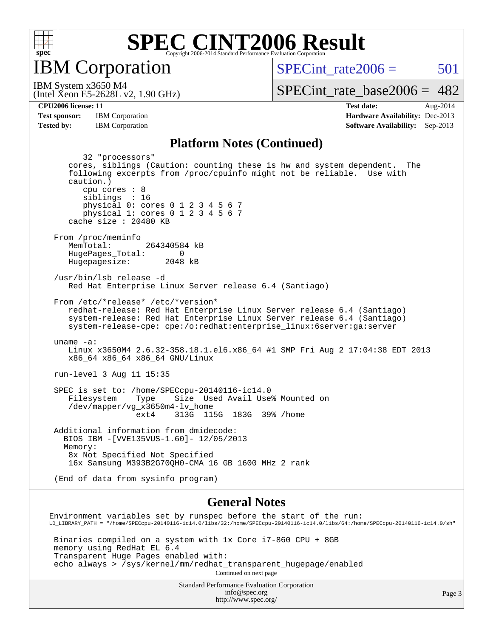

**IBM** Corporation

SPECint rate $2006 = 501$ 

(Intel Xeon E5-2628L v2, 1.90 GHz) IBM System x3650 M4

[SPECint\\_rate\\_base2006 =](http://www.spec.org/auto/cpu2006/Docs/result-fields.html#SPECintratebase2006)  $482$ 

**[CPU2006 license:](http://www.spec.org/auto/cpu2006/Docs/result-fields.html#CPU2006license)** 11 **[Test date:](http://www.spec.org/auto/cpu2006/Docs/result-fields.html#Testdate)** Aug-2014 **[Test sponsor:](http://www.spec.org/auto/cpu2006/Docs/result-fields.html#Testsponsor)** IBM Corporation **[Hardware Availability:](http://www.spec.org/auto/cpu2006/Docs/result-fields.html#HardwareAvailability)** Dec-2013 **[Tested by:](http://www.spec.org/auto/cpu2006/Docs/result-fields.html#Testedby)** IBM Corporation **[Software Availability:](http://www.spec.org/auto/cpu2006/Docs/result-fields.html#SoftwareAvailability)** Sep-2013

#### **[Platform Notes \(Continued\)](http://www.spec.org/auto/cpu2006/Docs/result-fields.html#PlatformNotes)**

 32 "processors" cores, siblings (Caution: counting these is hw and system dependent. The following excerpts from /proc/cpuinfo might not be reliable. Use with caution.) cpu cores : 8 siblings : 16 physical 0: cores 0 1 2 3 4 5 6 7 physical 1: cores 0 1 2 3 4 5 6 7 cache size : 20480 KB From /proc/meminfo MemTotal: 264340584 kB HugePages\_Total: 0<br>Hugepagesize: 2048 kB Hugepagesize: /usr/bin/lsb\_release -d Red Hat Enterprise Linux Server release 6.4 (Santiago) From /etc/\*release\* /etc/\*version\* redhat-release: Red Hat Enterprise Linux Server release 6.4 (Santiago) system-release: Red Hat Enterprise Linux Server release 6.4 (Santiago) system-release-cpe: cpe:/o:redhat:enterprise\_linux:6server:ga:server uname -a: Linux x3650M4 2.6.32-358.18.1.el6.x86\_64 #1 SMP Fri Aug 2 17:04:38 EDT 2013 x86\_64 x86\_64 x86\_64 GNU/Linux run-level 3 Aug 11 15:35 SPEC is set to: /home/SPECcpu-20140116-ic14.0 Filesystem Type Size Used Avail Use% Mounted on /dev/mapper/vg\_x3650m4-lv\_home ext4 313G 115G 183G 39% /home Additional information from dmidecode: BIOS IBM -[VVE135VUS-1.60]- 12/05/2013 Memory: 8x Not Specified Not Specified 16x Samsung M393B2G70QH0-CMA 16 GB 1600 MHz 2 rank (End of data from sysinfo program) **[General Notes](http://www.spec.org/auto/cpu2006/Docs/result-fields.html#GeneralNotes)** Environment variables set by runspec before the start of the run: LD\_LIBRARY\_PATH = "/home/SPECcpu-20140116-ic14.0/libs/32:/home/SPECcpu-20140116-ic14.0/libs/64:/home/SPECcpu-20140116-ic14.0/sh" Binaries compiled on a system with 1x Core i7-860 CPU + 8GB

 memory using RedHat EL 6.4 Transparent Huge Pages enabled with: echo always > /sys/kernel/mm/redhat\_transparent\_hugepage/enabled Continued on next page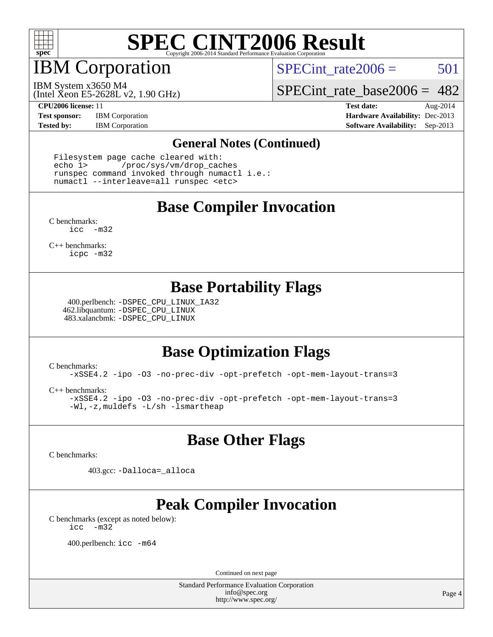

IBM Corporation

SPECint rate $2006 = 501$ 

(Intel Xeon E5-2628L v2, 1.90 GHz) IBM System x3650 M4

[SPECint\\_rate\\_base2006 =](http://www.spec.org/auto/cpu2006/Docs/result-fields.html#SPECintratebase2006) 482

**[Test sponsor:](http://www.spec.org/auto/cpu2006/Docs/result-fields.html#Testsponsor)** IBM Corporation **[Hardware Availability:](http://www.spec.org/auto/cpu2006/Docs/result-fields.html#HardwareAvailability)** Dec-2013

**[CPU2006 license:](http://www.spec.org/auto/cpu2006/Docs/result-fields.html#CPU2006license)** 11 **[Test date:](http://www.spec.org/auto/cpu2006/Docs/result-fields.html#Testdate)** Aug-2014 **[Tested by:](http://www.spec.org/auto/cpu2006/Docs/result-fields.html#Testedby)** IBM Corporation **[Software Availability:](http://www.spec.org/auto/cpu2006/Docs/result-fields.html#SoftwareAvailability)** Sep-2013

#### **[General Notes \(Continued\)](http://www.spec.org/auto/cpu2006/Docs/result-fields.html#GeneralNotes)**

 Filesystem page cache cleared with: echo 1> /proc/sys/vm/drop\_caches runspec command invoked through numactl i.e.: numactl --interleave=all runspec <etc>

### **[Base Compiler Invocation](http://www.spec.org/auto/cpu2006/Docs/result-fields.html#BaseCompilerInvocation)**

[C benchmarks](http://www.spec.org/auto/cpu2006/Docs/result-fields.html#Cbenchmarks): [icc -m32](http://www.spec.org/cpu2006/results/res2014q3/cpu2006-20140815-30932.flags.html#user_CCbase_intel_icc_5ff4a39e364c98233615fdd38438c6f2)

[C++ benchmarks:](http://www.spec.org/auto/cpu2006/Docs/result-fields.html#CXXbenchmarks) [icpc -m32](http://www.spec.org/cpu2006/results/res2014q3/cpu2006-20140815-30932.flags.html#user_CXXbase_intel_icpc_4e5a5ef1a53fd332b3c49e69c3330699)

### **[Base Portability Flags](http://www.spec.org/auto/cpu2006/Docs/result-fields.html#BasePortabilityFlags)**

 400.perlbench: [-DSPEC\\_CPU\\_LINUX\\_IA32](http://www.spec.org/cpu2006/results/res2014q3/cpu2006-20140815-30932.flags.html#b400.perlbench_baseCPORTABILITY_DSPEC_CPU_LINUX_IA32) 462.libquantum: [-DSPEC\\_CPU\\_LINUX](http://www.spec.org/cpu2006/results/res2014q3/cpu2006-20140815-30932.flags.html#b462.libquantum_baseCPORTABILITY_DSPEC_CPU_LINUX) 483.xalancbmk: [-DSPEC\\_CPU\\_LINUX](http://www.spec.org/cpu2006/results/res2014q3/cpu2006-20140815-30932.flags.html#b483.xalancbmk_baseCXXPORTABILITY_DSPEC_CPU_LINUX)

## **[Base Optimization Flags](http://www.spec.org/auto/cpu2006/Docs/result-fields.html#BaseOptimizationFlags)**

[C benchmarks](http://www.spec.org/auto/cpu2006/Docs/result-fields.html#Cbenchmarks):

[-xSSE4.2](http://www.spec.org/cpu2006/results/res2014q3/cpu2006-20140815-30932.flags.html#user_CCbase_f-xSSE42_f91528193cf0b216347adb8b939d4107) [-ipo](http://www.spec.org/cpu2006/results/res2014q3/cpu2006-20140815-30932.flags.html#user_CCbase_f-ipo) [-O3](http://www.spec.org/cpu2006/results/res2014q3/cpu2006-20140815-30932.flags.html#user_CCbase_f-O3) [-no-prec-div](http://www.spec.org/cpu2006/results/res2014q3/cpu2006-20140815-30932.flags.html#user_CCbase_f-no-prec-div) [-opt-prefetch](http://www.spec.org/cpu2006/results/res2014q3/cpu2006-20140815-30932.flags.html#user_CCbase_f-opt-prefetch) [-opt-mem-layout-trans=3](http://www.spec.org/cpu2006/results/res2014q3/cpu2006-20140815-30932.flags.html#user_CCbase_f-opt-mem-layout-trans_a7b82ad4bd7abf52556d4961a2ae94d5)

[C++ benchmarks:](http://www.spec.org/auto/cpu2006/Docs/result-fields.html#CXXbenchmarks)

[-xSSE4.2](http://www.spec.org/cpu2006/results/res2014q3/cpu2006-20140815-30932.flags.html#user_CXXbase_f-xSSE42_f91528193cf0b216347adb8b939d4107) [-ipo](http://www.spec.org/cpu2006/results/res2014q3/cpu2006-20140815-30932.flags.html#user_CXXbase_f-ipo) [-O3](http://www.spec.org/cpu2006/results/res2014q3/cpu2006-20140815-30932.flags.html#user_CXXbase_f-O3) [-no-prec-div](http://www.spec.org/cpu2006/results/res2014q3/cpu2006-20140815-30932.flags.html#user_CXXbase_f-no-prec-div) [-opt-prefetch](http://www.spec.org/cpu2006/results/res2014q3/cpu2006-20140815-30932.flags.html#user_CXXbase_f-opt-prefetch) [-opt-mem-layout-trans=3](http://www.spec.org/cpu2006/results/res2014q3/cpu2006-20140815-30932.flags.html#user_CXXbase_f-opt-mem-layout-trans_a7b82ad4bd7abf52556d4961a2ae94d5) [-Wl,-z,muldefs](http://www.spec.org/cpu2006/results/res2014q3/cpu2006-20140815-30932.flags.html#user_CXXbase_link_force_multiple1_74079c344b956b9658436fd1b6dd3a8a) [-L/sh -lsmartheap](http://www.spec.org/cpu2006/results/res2014q3/cpu2006-20140815-30932.flags.html#user_CXXbase_SmartHeap_32f6c82aa1ed9c52345d30cf6e4a0499)

### **[Base Other Flags](http://www.spec.org/auto/cpu2006/Docs/result-fields.html#BaseOtherFlags)**

[C benchmarks](http://www.spec.org/auto/cpu2006/Docs/result-fields.html#Cbenchmarks):

403.gcc: [-Dalloca=\\_alloca](http://www.spec.org/cpu2006/results/res2014q3/cpu2006-20140815-30932.flags.html#b403.gcc_baseEXTRA_CFLAGS_Dalloca_be3056838c12de2578596ca5467af7f3)

## **[Peak Compiler Invocation](http://www.spec.org/auto/cpu2006/Docs/result-fields.html#PeakCompilerInvocation)**

[C benchmarks \(except as noted below\)](http://www.spec.org/auto/cpu2006/Docs/result-fields.html#Cbenchmarksexceptasnotedbelow): [icc -m32](http://www.spec.org/cpu2006/results/res2014q3/cpu2006-20140815-30932.flags.html#user_CCpeak_intel_icc_5ff4a39e364c98233615fdd38438c6f2)

400.perlbench: [icc -m64](http://www.spec.org/cpu2006/results/res2014q3/cpu2006-20140815-30932.flags.html#user_peakCCLD400_perlbench_intel_icc_64bit_bda6cc9af1fdbb0edc3795bac97ada53)

Continued on next page

Standard Performance Evaluation Corporation [info@spec.org](mailto:info@spec.org) <http://www.spec.org/>

Page 4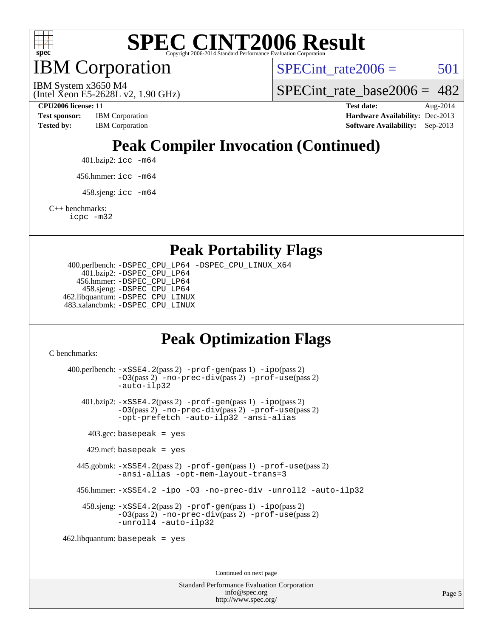

IBM Corporation

SPECint rate $2006 = 501$ 

SPECint rate base  $2006 = 482$ 

(Intel Xeon E5-2628L v2, 1.90 GHz)

IBM System x3650 M4

**[Test sponsor:](http://www.spec.org/auto/cpu2006/Docs/result-fields.html#Testsponsor)** IBM Corporation **[Hardware Availability:](http://www.spec.org/auto/cpu2006/Docs/result-fields.html#HardwareAvailability)** Dec-2013

**[CPU2006 license:](http://www.spec.org/auto/cpu2006/Docs/result-fields.html#CPU2006license)** 11 **[Test date:](http://www.spec.org/auto/cpu2006/Docs/result-fields.html#Testdate)** Aug-2014 **[Tested by:](http://www.spec.org/auto/cpu2006/Docs/result-fields.html#Testedby)** IBM Corporation **[Software Availability:](http://www.spec.org/auto/cpu2006/Docs/result-fields.html#SoftwareAvailability)** Sep-2013

## **[Peak Compiler Invocation \(Continued\)](http://www.spec.org/auto/cpu2006/Docs/result-fields.html#PeakCompilerInvocation)**

401.bzip2: [icc -m64](http://www.spec.org/cpu2006/results/res2014q3/cpu2006-20140815-30932.flags.html#user_peakCCLD401_bzip2_intel_icc_64bit_bda6cc9af1fdbb0edc3795bac97ada53)

456.hmmer: [icc -m64](http://www.spec.org/cpu2006/results/res2014q3/cpu2006-20140815-30932.flags.html#user_peakCCLD456_hmmer_intel_icc_64bit_bda6cc9af1fdbb0edc3795bac97ada53)

 $458 \text{.}$ sjeng: icc  $-\text{m64}$ 

[C++ benchmarks:](http://www.spec.org/auto/cpu2006/Docs/result-fields.html#CXXbenchmarks)

[icpc -m32](http://www.spec.org/cpu2006/results/res2014q3/cpu2006-20140815-30932.flags.html#user_CXXpeak_intel_icpc_4e5a5ef1a53fd332b3c49e69c3330699)

**[Peak Portability Flags](http://www.spec.org/auto/cpu2006/Docs/result-fields.html#PeakPortabilityFlags)**

 400.perlbench: [-DSPEC\\_CPU\\_LP64](http://www.spec.org/cpu2006/results/res2014q3/cpu2006-20140815-30932.flags.html#b400.perlbench_peakCPORTABILITY_DSPEC_CPU_LP64) [-DSPEC\\_CPU\\_LINUX\\_X64](http://www.spec.org/cpu2006/results/res2014q3/cpu2006-20140815-30932.flags.html#b400.perlbench_peakCPORTABILITY_DSPEC_CPU_LINUX_X64) 401.bzip2: [-DSPEC\\_CPU\\_LP64](http://www.spec.org/cpu2006/results/res2014q3/cpu2006-20140815-30932.flags.html#suite_peakCPORTABILITY401_bzip2_DSPEC_CPU_LP64) 456.hmmer: [-DSPEC\\_CPU\\_LP64](http://www.spec.org/cpu2006/results/res2014q3/cpu2006-20140815-30932.flags.html#suite_peakCPORTABILITY456_hmmer_DSPEC_CPU_LP64) 458.sjeng: [-DSPEC\\_CPU\\_LP64](http://www.spec.org/cpu2006/results/res2014q3/cpu2006-20140815-30932.flags.html#suite_peakCPORTABILITY458_sjeng_DSPEC_CPU_LP64) 462.libquantum: [-DSPEC\\_CPU\\_LINUX](http://www.spec.org/cpu2006/results/res2014q3/cpu2006-20140815-30932.flags.html#b462.libquantum_peakCPORTABILITY_DSPEC_CPU_LINUX) 483.xalancbmk: [-DSPEC\\_CPU\\_LINUX](http://www.spec.org/cpu2006/results/res2014q3/cpu2006-20140815-30932.flags.html#b483.xalancbmk_peakCXXPORTABILITY_DSPEC_CPU_LINUX)

## **[Peak Optimization Flags](http://www.spec.org/auto/cpu2006/Docs/result-fields.html#PeakOptimizationFlags)**

[C benchmarks](http://www.spec.org/auto/cpu2006/Docs/result-fields.html#Cbenchmarks):

 400.perlbench: [-xSSE4.2](http://www.spec.org/cpu2006/results/res2014q3/cpu2006-20140815-30932.flags.html#user_peakPASS2_CFLAGSPASS2_LDCFLAGS400_perlbench_f-xSSE42_f91528193cf0b216347adb8b939d4107)(pass 2) [-prof-gen](http://www.spec.org/cpu2006/results/res2014q3/cpu2006-20140815-30932.flags.html#user_peakPASS1_CFLAGSPASS1_LDCFLAGS400_perlbench_prof_gen_e43856698f6ca7b7e442dfd80e94a8fc)(pass 1) [-ipo](http://www.spec.org/cpu2006/results/res2014q3/cpu2006-20140815-30932.flags.html#user_peakPASS2_CFLAGSPASS2_LDCFLAGS400_perlbench_f-ipo)(pass 2) [-O3](http://www.spec.org/cpu2006/results/res2014q3/cpu2006-20140815-30932.flags.html#user_peakPASS2_CFLAGSPASS2_LDCFLAGS400_perlbench_f-O3)(pass 2) [-no-prec-div](http://www.spec.org/cpu2006/results/res2014q3/cpu2006-20140815-30932.flags.html#user_peakPASS2_CFLAGSPASS2_LDCFLAGS400_perlbench_f-no-prec-div)(pass 2) [-prof-use](http://www.spec.org/cpu2006/results/res2014q3/cpu2006-20140815-30932.flags.html#user_peakPASS2_CFLAGSPASS2_LDCFLAGS400_perlbench_prof_use_bccf7792157ff70d64e32fe3e1250b55)(pass 2) [-auto-ilp32](http://www.spec.org/cpu2006/results/res2014q3/cpu2006-20140815-30932.flags.html#user_peakCOPTIMIZE400_perlbench_f-auto-ilp32) 401.bzip2: [-xSSE4.2](http://www.spec.org/cpu2006/results/res2014q3/cpu2006-20140815-30932.flags.html#user_peakPASS2_CFLAGSPASS2_LDCFLAGS401_bzip2_f-xSSE42_f91528193cf0b216347adb8b939d4107)(pass 2) [-prof-gen](http://www.spec.org/cpu2006/results/res2014q3/cpu2006-20140815-30932.flags.html#user_peakPASS1_CFLAGSPASS1_LDCFLAGS401_bzip2_prof_gen_e43856698f6ca7b7e442dfd80e94a8fc)(pass 1) [-ipo](http://www.spec.org/cpu2006/results/res2014q3/cpu2006-20140815-30932.flags.html#user_peakPASS2_CFLAGSPASS2_LDCFLAGS401_bzip2_f-ipo)(pass 2) [-O3](http://www.spec.org/cpu2006/results/res2014q3/cpu2006-20140815-30932.flags.html#user_peakPASS2_CFLAGSPASS2_LDCFLAGS401_bzip2_f-O3)(pass 2) [-no-prec-div](http://www.spec.org/cpu2006/results/res2014q3/cpu2006-20140815-30932.flags.html#user_peakPASS2_CFLAGSPASS2_LDCFLAGS401_bzip2_f-no-prec-div)(pass 2) [-prof-use](http://www.spec.org/cpu2006/results/res2014q3/cpu2006-20140815-30932.flags.html#user_peakPASS2_CFLAGSPASS2_LDCFLAGS401_bzip2_prof_use_bccf7792157ff70d64e32fe3e1250b55)(pass 2) [-opt-prefetch](http://www.spec.org/cpu2006/results/res2014q3/cpu2006-20140815-30932.flags.html#user_peakCOPTIMIZE401_bzip2_f-opt-prefetch) [-auto-ilp32](http://www.spec.org/cpu2006/results/res2014q3/cpu2006-20140815-30932.flags.html#user_peakCOPTIMIZE401_bzip2_f-auto-ilp32) [-ansi-alias](http://www.spec.org/cpu2006/results/res2014q3/cpu2006-20140815-30932.flags.html#user_peakCOPTIMIZE401_bzip2_f-ansi-alias)  $403.\text{gcc: basepeak}$  = yes  $429$ .mcf: basepeak = yes 445.gobmk: [-xSSE4.2](http://www.spec.org/cpu2006/results/res2014q3/cpu2006-20140815-30932.flags.html#user_peakPASS2_CFLAGSPASS2_LDCFLAGS445_gobmk_f-xSSE42_f91528193cf0b216347adb8b939d4107)(pass 2) [-prof-gen](http://www.spec.org/cpu2006/results/res2014q3/cpu2006-20140815-30932.flags.html#user_peakPASS1_CFLAGSPASS1_LDCFLAGS445_gobmk_prof_gen_e43856698f6ca7b7e442dfd80e94a8fc)(pass 1) [-prof-use](http://www.spec.org/cpu2006/results/res2014q3/cpu2006-20140815-30932.flags.html#user_peakPASS2_CFLAGSPASS2_LDCFLAGS445_gobmk_prof_use_bccf7792157ff70d64e32fe3e1250b55)(pass 2) [-ansi-alias](http://www.spec.org/cpu2006/results/res2014q3/cpu2006-20140815-30932.flags.html#user_peakCOPTIMIZE445_gobmk_f-ansi-alias) [-opt-mem-layout-trans=3](http://www.spec.org/cpu2006/results/res2014q3/cpu2006-20140815-30932.flags.html#user_peakCOPTIMIZE445_gobmk_f-opt-mem-layout-trans_a7b82ad4bd7abf52556d4961a2ae94d5) 456.hmmer: [-xSSE4.2](http://www.spec.org/cpu2006/results/res2014q3/cpu2006-20140815-30932.flags.html#user_peakCOPTIMIZE456_hmmer_f-xSSE42_f91528193cf0b216347adb8b939d4107) [-ipo](http://www.spec.org/cpu2006/results/res2014q3/cpu2006-20140815-30932.flags.html#user_peakCOPTIMIZE456_hmmer_f-ipo) [-O3](http://www.spec.org/cpu2006/results/res2014q3/cpu2006-20140815-30932.flags.html#user_peakCOPTIMIZE456_hmmer_f-O3) [-no-prec-div](http://www.spec.org/cpu2006/results/res2014q3/cpu2006-20140815-30932.flags.html#user_peakCOPTIMIZE456_hmmer_f-no-prec-div) [-unroll2](http://www.spec.org/cpu2006/results/res2014q3/cpu2006-20140815-30932.flags.html#user_peakCOPTIMIZE456_hmmer_f-unroll_784dae83bebfb236979b41d2422d7ec2) [-auto-ilp32](http://www.spec.org/cpu2006/results/res2014q3/cpu2006-20140815-30932.flags.html#user_peakCOPTIMIZE456_hmmer_f-auto-ilp32) 458.sjeng: [-xSSE4.2](http://www.spec.org/cpu2006/results/res2014q3/cpu2006-20140815-30932.flags.html#user_peakPASS2_CFLAGSPASS2_LDCFLAGS458_sjeng_f-xSSE42_f91528193cf0b216347adb8b939d4107)(pass 2) [-prof-gen](http://www.spec.org/cpu2006/results/res2014q3/cpu2006-20140815-30932.flags.html#user_peakPASS1_CFLAGSPASS1_LDCFLAGS458_sjeng_prof_gen_e43856698f6ca7b7e442dfd80e94a8fc)(pass 1) [-ipo](http://www.spec.org/cpu2006/results/res2014q3/cpu2006-20140815-30932.flags.html#user_peakPASS2_CFLAGSPASS2_LDCFLAGS458_sjeng_f-ipo)(pass 2) [-O3](http://www.spec.org/cpu2006/results/res2014q3/cpu2006-20140815-30932.flags.html#user_peakPASS2_CFLAGSPASS2_LDCFLAGS458_sjeng_f-O3)(pass 2) [-no-prec-div](http://www.spec.org/cpu2006/results/res2014q3/cpu2006-20140815-30932.flags.html#user_peakPASS2_CFLAGSPASS2_LDCFLAGS458_sjeng_f-no-prec-div)(pass 2) [-prof-use](http://www.spec.org/cpu2006/results/res2014q3/cpu2006-20140815-30932.flags.html#user_peakPASS2_CFLAGSPASS2_LDCFLAGS458_sjeng_prof_use_bccf7792157ff70d64e32fe3e1250b55)(pass 2) [-unroll4](http://www.spec.org/cpu2006/results/res2014q3/cpu2006-20140815-30932.flags.html#user_peakCOPTIMIZE458_sjeng_f-unroll_4e5e4ed65b7fd20bdcd365bec371b81f) [-auto-ilp32](http://www.spec.org/cpu2006/results/res2014q3/cpu2006-20140815-30932.flags.html#user_peakCOPTIMIZE458_sjeng_f-auto-ilp32) 462.libquantum: basepeak = yes

Continued on next page